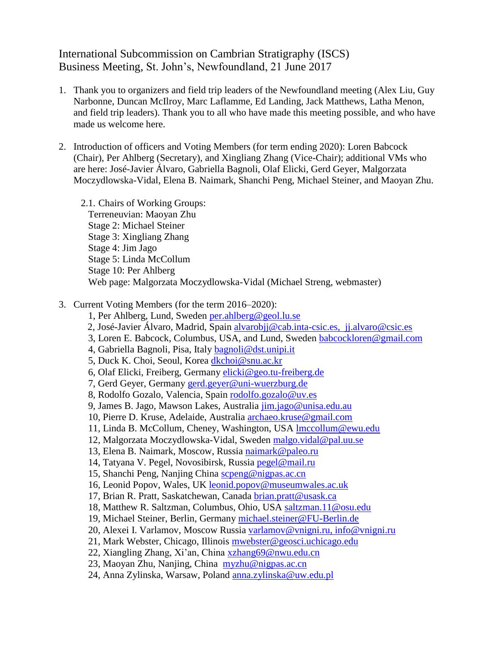## International Subcommission on Cambrian Stratigraphy (ISCS) Business Meeting, St. John's, Newfoundland, 21 June 2017

- 1. Thank you to organizers and field trip leaders of the Newfoundland meeting (Alex Liu, Guy Narbonne, Duncan McIlroy, Marc Laflamme, Ed Landing, Jack Matthews, Latha Menon, and field trip leaders). Thank you to all who have made this meeting possible, and who have made us welcome here.
- 2. Introduction of officers and Voting Members (for term ending 2020): Loren Babcock (Chair), Per Ahlberg (Secretary), and Xingliang Zhang (Vice-Chair); additional VMs who are here: José-Javier Álvaro, Gabriella Bagnoli, Olaf Elicki, Gerd Geyer, Malgorzata Moczydlowska-Vidal, Elena B. Naimark, Shanchi Peng, Michael Steiner, and Maoyan Zhu.
	- 2.1. Chairs of Working Groups: Terreneuvian: Maoyan Zhu Stage 2: Michael Steiner Stage 3: Xingliang Zhang Stage 4: Jim Jago Stage 5: Linda McCollum Stage 10: Per Ahlberg Web page: Malgorzata Moczydlowska-Vidal (Michael Streng, webmaster)
- 3. Current Voting Members (for the term 2016–2020):
	- 1, Per Ahlberg, Lund, Sweden [per.ahlberg@geol.lu.se](mailto:per.ahlberg@geol.lu.se)
	- 2, José-Javier Álvaro, Madrid, Spain [alvarobjj@cab.inta-csic.es,](mailto:alvarobjj@cab.inta-csic.es) [jj.alvaro@csic.es](mailto:jj.alvaro@csic.es)
	- 3, Loren E. Babcock, Columbus, USA, and Lund, Sweden [babcockloren@gmail.com](mailto:babcockloren@gmail.com)
	- 4, Gabriella Bagnoli, Pisa, Italy [bagnoli@dst.unipi.it](mailto:bagnoli@dst.unipi.it)
	- 5, Duck K. Choi, Seoul, Korea [dkchoi@snu.ac.kr](mailto:dkchoi@snu.ac.kr)
	- 6, Olaf Elicki, Freiberg, Germany [elicki@geo.tu-freiberg.de](mailto:elicki@geo.tu-freiberg.de)
	- 7, Gerd Geyer, Germany [gerd.geyer@uni-wuerzburg.de](mailto:gerd.geyer@uni-wuerzburg.de)
	- 8, Rodolfo Gozalo, Valencia, Spain [rodolfo.gozalo@uv.es](mailto:rodolfo.gozalo@uv.es)
	- 9, James B. Jago, Mawson Lakes, Australia [jim.jago@unisa.edu.au](mailto:jim.jago@unisa.edu.au)
	- 10, Pierre D. Kruse, Adelaide, Australia [archaeo.kruse@gmail.com](mailto:archaeo.kruse@gmail.com)
	- 11, Linda B. McCollum, Cheney, Washington, USA [lmccollum@ewu.edu](mailto:lmccollum@ewu.edu)
	- 12, Malgorzata Moczydlowska-Vidal, Sweden [malgo.vidal@pal.uu.se](mailto:malgo.vidal@pal.uu.se)
	- 13, Elena B. Naimark, Moscow, Russia [naimark@paleo.ru](mailto:naimark@paleo.ru)
	- 14, Tatyana V. Pegel, Novosibirsk, Russia [pegel@mail.ru](mailto:pegel@mail.ru)
	- 15, Shanchi Peng, Nanjing China [scpeng@nigpas.ac.cn](mailto:scpeng@nigpas.ac.cn)
	- 16, Leonid Popov, Wales, UK leonid.popov@museumwales.ac.uk
	- 17, Brian R. Pratt, Saskatchewan, Canada [brian.pratt@usask.ca](mailto:brian.pratt@usask.ca)
	- 18, Matthew R. Saltzman, Columbus, Ohio, USA [saltzman.11@osu.edu](mailto:saltzman.11@osu.edu)
	- 19, Michael Steiner, Berlin, Germany [michael.steiner@FU-Berlin.de](mailto:michael.steiner@FU-Berlin.de)
	- 20, Alexei I. Varlamov, Moscow Russia [varlamov@vnigni.ru,](mailto:varlamov@vnigni.ru) [info@vnigni.ru](mailto:info@vnigni.ru)
	- 21, Mark Webster, Chicago, Illinois [mwebster@geosci.uchicago.edu](mailto:mwebster@geosci.uchicago.edu)
	- 22, Xiangling Zhang, Xi'an, China [xzhang69@nwu.edu.cn](mailto:xzhang69@nwu.edu.cn)
	- 23, Maoyan Zhu, Nanjing, China [myzhu@nigpas.ac.cn](mailto:myzhu@nigpas.ac.cn)
	- 24, Anna Zylinska, Warsaw, Poland [anna.zylinska@uw.edu.pl](mailto:anna.zylinska@uw.edu.pl)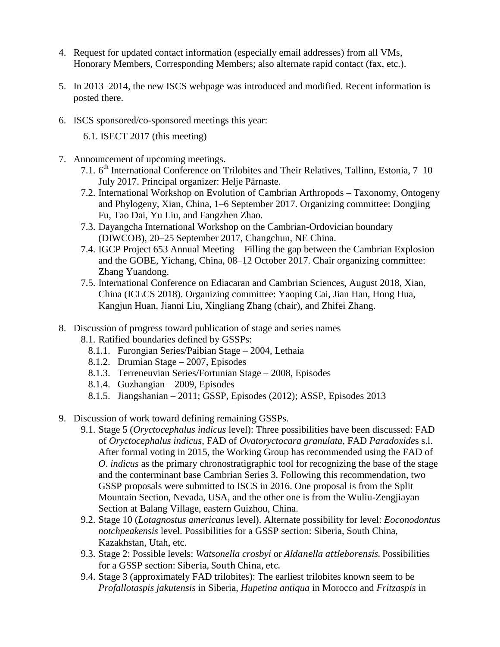- 4. Request for updated contact information (especially email addresses) from all VMs, Honorary Members, Corresponding Members; also alternate rapid contact (fax, etc.).
- 5. In 2013–2014, the new ISCS webpage was introduced and modified. Recent information is posted there.
- 6. ISCS sponsored/co-sponsored meetings this year:

6.1. ISECT 2017 (this meeting)

- 7. Announcement of upcoming meetings.
	- 7.1. 6<sup>th</sup> International Conference on Trilobites and Their Relatives, Tallinn, Estonia, 7–10 July 2017. Principal organizer: Helje Pärnaste.
	- 7.2. International Workshop on Evolution of Cambrian Arthropods Taxonomy, Ontogeny and Phylogeny, Xian, China, 1–6 September 2017. Organizing committee: Dongjing Fu, Tao Dai, Yu Liu, and Fangzhen Zhao.
	- 7.3. Dayangcha International Workshop on the Cambrian-Ordovician boundary (DIWCOB), 20–25 September 2017, Changchun, NE China.
	- 7.4. IGCP Project 653 Annual Meeting Filling the gap between the Cambrian Explosion and the GOBE, Yichang, China, 08–12 October 2017. Chair organizing committee: Zhang Yuandong.
	- 7.5. International Conference on Ediacaran and Cambrian Sciences, August 2018, Xian, China (ICECS 2018). Organizing committee: Yaoping Cai, Jian Han, Hong Hua, Kangjun Huan, Jianni Liu, Xingliang Zhang (chair), and Zhifei Zhang.
- 8. Discussion of progress toward publication of stage and series names
	- 8.1. Ratified boundaries defined by GSSPs:
		- 8.1.1. Furongian Series/Paibian Stage 2004, Lethaia
		- 8.1.2. Drumian Stage 2007, Episodes
		- 8.1.3. Terreneuvian Series/Fortunian Stage 2008, Episodes
		- 8.1.4. Guzhangian 2009, Episodes
		- 8.1.5. Jiangshanian 2011; GSSP, Episodes (2012); ASSP, Episodes 2013
- 9. Discussion of work toward defining remaining GSSPs.
	- 9.1. Stage 5 (*Oryctocephalus indicus* level): Three possibilities have been discussed: FAD of *Oryctocephalus indicus,* FAD of *Ovatoryctocara granulata*, FAD *Paradoxide*s s.l. After formal voting in 2015, the Working Group has recommended using the FAD of *O*. *indicus* as the primary chronostratigraphic tool for recognizing the base of the stage and the conterminant base Cambrian Series 3. Following this recommendation, two GSSP proposals were submitted to ISCS in 2016. One proposal is from the Split Mountain Section, Nevada, USA, and the other one is from the Wuliu-Zengjiayan Section at Balang Village, eastern Guizhou, China.
	- 9.2. Stage 10 (*Lotagnostus americanus* level). Alternate possibility for level: *Eoconodontus notchpeakensis* level. Possibilities for a GSSP section: Siberia, South China, Kazakhstan, Utah, etc.
	- 9.3. Stage 2: Possible levels: *Watsonella crosbyi* or *Aldanella attleborensis*. Possibilities for a GSSP section: Siberia, South China, etc.
	- 9.4. Stage 3 (approximately FAD trilobites): The earliest trilobites known seem to be *Profallotaspis jakutensis* in Siberia, *Hupetina antiqua* in Morocco and *Fritzaspis* in